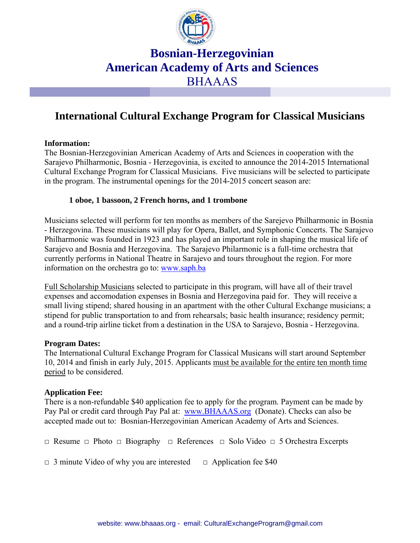

# **Bosnian-Herzegovinian American Academy of Arts and Sciences**  BHAAAS

### **International Cultural Exchange Program for Classical Musicians**

#### **Information:**

The Bosnian-Herzegovinian American Academy of Arts and Sciences in cooperation with the Sarajevo Philharmonic, Bosnia - Herzegovinia, is excited to announce the 2014-2015 International Cultural Exchange Program for Classical Musicians. Five musicians will be selected to participate in the program. The instrumental openings for the 2014-2015 concert season are:

#### **1 oboe, 1 bassoon, 2 French horns, and 1 trombone**

Musicians selected will perform for ten months as members of the Sarejevo Philharmonic in Bosnia - Herzegovina. These musicians will play for Opera, Ballet, and Symphonic Concerts. The Sarajevo Philharmonic was founded in 1923 and has played an important role in shaping the musical life of Sarajevo and Bosnia and Herzegovina. The Sarajevo Philarmonic is a full-time orchestra that currently performs in National Theatre in Sarajevo and tours throughout the region. For more information on the orchestra go to: www.saph.ba

Full Scholarship Musicians selected to participate in this program, will have all of their travel expenses and accomodation expenses in Bosnia and Herzegovina paid for. They will receive a small living stipend; shared housing in an apartment with the other Cultural Exchange musicians; a stipend for public transportation to and from rehearsals; basic health insurance; residency permit; and a round-trip airline ticket from a destination in the USA to Sarajevo, Bosnia - Herzegovina.

#### **Program Dates:**

The International Cultural Exchange Program for Classical Musicans will start around September 10, 2014 and finish in early July, 2015. Applicants must be available for the entire ten month time period to be considered.

#### **Application Fee:**

There is a non-refundable \$40 application fee to apply for the program. Payment can be made by Pay Pal or credit card through Pay Pal at: www.BHAAAS.org (Donate). Checks can also be accepted made out to: Bosnian-Herzegovinian American Academy of Arts and Sciences.

□ Resume □ Photo □ Biography □ References □ Solo Video □ 5 Orchestra Excerpts

 $\Box$  3 minute Video of why you are interested  $\Box$  Application fee \$40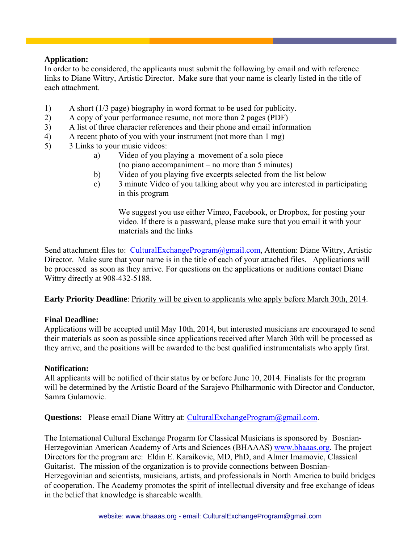### **Application:**

In order to be considered, the applicants must submit the following by email and with reference links to Diane Wittry, Artistic Director. Make sure that your name is clearly listed in the title of each attachment.

- 1) A short (1/3 page) biography in word format to be used for publicity.
- 2) A copy of your performance resume, not more than 2 pages (PDF)
- 3) A list of three character references and their phone and email information
- 4) A recent photo of you with your instrument (not more than 1 mg)
- 5) 3 Links to your music videos:
	- a) Video of you playing a movement of a solo piece (no piano accompaniment – no more than 5 minutes)
	- b) Video of you playing five excerpts selected from the list below
	- c) 3 minute Video of you talking about why you are interested in participating in this program

 We suggest you use either Vimeo, Facebook, or Dropbox, for posting your video. If there is a passward, please make sure that you email it with your materials and the links

Send attachment files to: CulturalExchangeProgram@gmail.com, Attention: Diane Wittry, Artistic Director. Make sure that your name is in the title of each of your attached files. Applications will be processed as soon as they arrive. For questions on the applications or auditions contact Diane Wittry directly at 908-432-5188.

**Early Priority Deadline**: Priority will be given to applicants who apply before March 30th, 2014.

#### **Final Deadline:**

Applications will be accepted until May 10th, 2014, but interested musicians are encouraged to send their materials as soon as possible since applications received after March 30th will be processed as they arrive, and the positions will be awarded to the best qualified instrumentalists who apply first.

#### **Notification:**

All applicants will be notified of their status by or before June 10, 2014. Finalists for the program will be determined by the Artistic Board of the Sarajevo Philharmonic with Director and Conductor, Samra Gulamovic.

**Questions:** Please email Diane Wittry at: CulturalExchangeProgram@gmail.com.

The International Cultural Exchange Progarm for Classical Musicians is sponsored by Bosnian-Herzegovinian American Academy of Arts and Sciences (BHAAAS) www.bhaaas.org. The project Directors for the program are: Eldin E. Karaikovic, MD, PhD, and Almer Imamovic, Classical Guitarist. The mission of the organization is to provide connections between Bosnian-Herzegovinian and scientists, musicians, artists, and professionals in North America to build bridges of cooperation. The Academy promotes the spirit of intellectual diversity and free exchange of ideas in the belief that knowledge is shareable wealth.